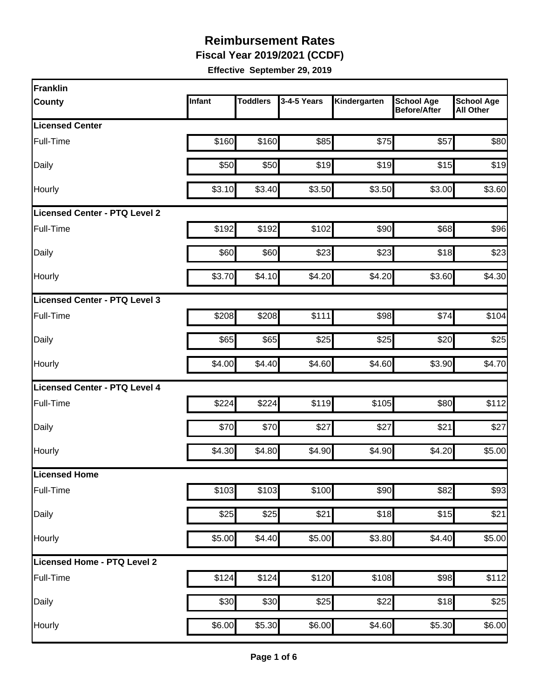**Fiscal Year 2019/2021 (CCDF)**

| Franklin                             |        |                 |             |              |                                          |                                       |
|--------------------------------------|--------|-----------------|-------------|--------------|------------------------------------------|---------------------------------------|
| <b>County</b>                        | Infant | <b>Toddlers</b> | 3-4-5 Years | Kindergarten | <b>School Age</b><br><b>Before/After</b> | <b>School Age</b><br><b>All Other</b> |
| <b>Licensed Center</b>               |        |                 |             |              |                                          |                                       |
| Full-Time                            | \$160  | \$160           | \$85        | \$75         | \$57                                     | \$80                                  |
| Daily                                | \$50   | \$50            | \$19        | \$19         | \$15                                     | \$19                                  |
| Hourly                               | \$3.10 | \$3.40          | \$3.50      | \$3.50       | \$3.00                                   | \$3.60                                |
| <b>Licensed Center - PTQ Level 2</b> |        |                 |             |              |                                          |                                       |
| Full-Time                            | \$192  | \$192           | \$102       | \$90         | \$68                                     | \$96                                  |
| Daily                                | \$60   | \$60            | \$23        | \$23         | \$18                                     | \$23                                  |
| Hourly                               | \$3.70 | \$4.10          | \$4.20      | \$4.20       | \$3.60                                   | \$4.30                                |
| Licensed Center - PTQ Level 3        |        |                 |             |              |                                          |                                       |
| Full-Time                            | \$208  | \$208           | \$111       | \$98         | \$74                                     | \$104                                 |
| Daily                                | \$65   | \$65            | \$25        | \$25         | \$20                                     | \$25                                  |
| Hourly                               | \$4.00 | \$4.40          | \$4.60      | \$4.60       | \$3.90                                   | \$4.70                                |
| <b>Licensed Center - PTQ Level 4</b> |        |                 |             |              |                                          |                                       |
| Full-Time                            | \$224  | \$224           | \$119       | \$105        | \$80                                     | \$112                                 |
| Daily                                | \$70   | \$70            | \$27        | \$27         | \$21                                     | \$27                                  |
| Hourly                               | \$4.30 | \$4.80          | \$4.90      | \$4.90       | \$4.20                                   | \$5.00                                |
| Licensed Home                        |        |                 |             |              |                                          |                                       |
| Full-Time                            | \$103  | \$103           | \$100       | \$90         | \$82                                     | \$93                                  |
| Daily                                | \$25   | \$25            | \$21        | \$18         | \$15                                     | \$21                                  |
| Hourly                               | \$5.00 | \$4.40          | \$5.00      | \$3.80       | \$4.40                                   | \$5.00                                |
| Licensed Home - PTQ Level 2          |        |                 |             |              |                                          |                                       |
| Full-Time                            | \$124  | \$124           | \$120       | \$108        | \$98                                     | \$112                                 |
| Daily                                | \$30   | \$30            | \$25        | \$22         | \$18                                     | \$25                                  |
| Hourly                               | \$6.00 | \$5.30          | \$6.00      | \$4.60       | \$5.30                                   | \$6.00                                |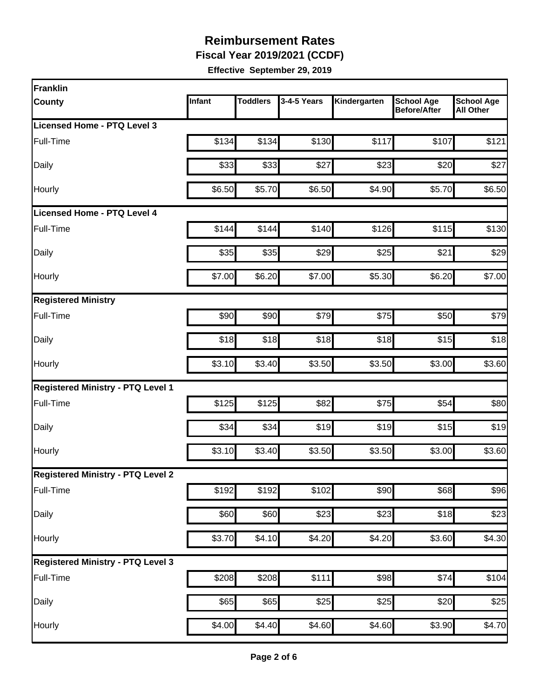**Fiscal Year 2019/2021 (CCDF)**

| Franklin                                 |        |                    |             |              |                                          |                                       |
|------------------------------------------|--------|--------------------|-------------|--------------|------------------------------------------|---------------------------------------|
| <b>County</b>                            | Infant | <b>Toddlers</b>    | 3-4-5 Years | Kindergarten | <b>School Age</b><br><b>Before/After</b> | <b>School Age</b><br><b>All Other</b> |
| Licensed Home - PTQ Level 3              |        |                    |             |              |                                          |                                       |
| Full-Time                                | \$134  | \$134              | \$130       | \$117        | \$107                                    | \$121                                 |
| Daily                                    | \$33   | \$33               | \$27        | \$23         | \$20                                     | \$27                                  |
| Hourly                                   | \$6.50 | \$5.70             | \$6.50      | \$4.90       | \$5.70                                   | \$6.50                                |
| <b>Licensed Home - PTQ Level 4</b>       |        |                    |             |              |                                          |                                       |
| Full-Time                                | \$144  | \$144              | \$140       | \$126        | \$115                                    | \$130                                 |
| Daily                                    | \$35   | \$35               | \$29        | \$25         | \$21                                     | \$29                                  |
| Hourly                                   | \$7.00 | \$6.20             | \$7.00      | \$5.30       | \$6.20                                   | \$7.00                                |
| <b>Registered Ministry</b>               |        |                    |             |              |                                          |                                       |
| Full-Time                                | \$90   | \$90               | \$79        | \$75         | \$50                                     | \$79                                  |
| Daily                                    | \$18   | \$18               | \$18        | \$18         | \$15                                     | \$18                                  |
| Hourly                                   | \$3.10 | \$3.40             | \$3.50      | \$3.50       | \$3.00                                   | \$3.60                                |
| <b>Registered Ministry - PTQ Level 1</b> |        |                    |             |              |                                          |                                       |
| Full-Time                                | \$125  | \$125              | \$82        | \$75         | \$54                                     | \$80                                  |
| Daily                                    | \$34   | \$34               | \$19        | \$19         | \$15                                     | \$19                                  |
| Hourly                                   | \$3.10 | \$3.40             | \$3.50      | \$3.50       | \$3.00                                   | \$3.60                                |
| <b>Registered Ministry - PTQ Level 2</b> |        |                    |             |              |                                          |                                       |
| Full-Time                                | \$192  | \$192              | \$102       | \$90         | \$68                                     | \$96                                  |
| Daily                                    | \$60   | \$60               | \$23        | \$23         | \$18                                     | \$23                                  |
| Hourly                                   | \$3.70 | $\overline{$4.10}$ | \$4.20      | \$4.20       | \$3.60                                   | \$4.30                                |
| <b>Registered Ministry - PTQ Level 3</b> |        |                    |             |              |                                          |                                       |
| Full-Time                                | \$208  | \$208              | \$111       | \$98         | \$74                                     | \$104                                 |
| Daily                                    | \$65   | \$65               | \$25        | \$25         | \$20                                     | \$25                                  |
| Hourly                                   | \$4.00 | \$4.40             | \$4.60      | \$4.60       | \$3.90                                   | \$4.70                                |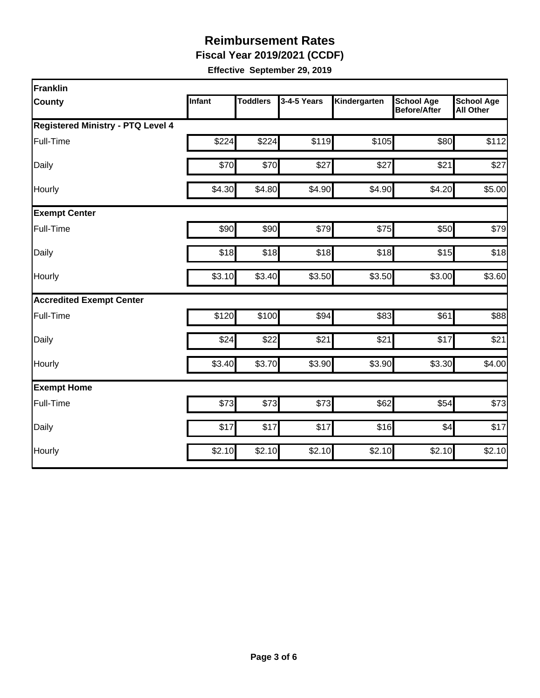**Fiscal Year 2019/2021 (CCDF)**

| <b>Franklin</b>                          |        |                 |             |              |                                          |                                       |
|------------------------------------------|--------|-----------------|-------------|--------------|------------------------------------------|---------------------------------------|
| <b>County</b>                            | Infant | <b>Toddlers</b> | 3-4-5 Years | Kindergarten | <b>School Age</b><br><b>Before/After</b> | <b>School Age</b><br><b>All Other</b> |
| <b>Registered Ministry - PTQ Level 4</b> |        |                 |             |              |                                          |                                       |
| Full-Time                                | \$224  | \$224           | \$119       | \$105        | \$80                                     | \$112                                 |
| Daily                                    | \$70   | \$70            | \$27        | \$27         | \$21                                     | \$27                                  |
| Hourly                                   | \$4.30 | \$4.80          | \$4.90      | \$4.90       | \$4.20                                   | \$5.00                                |
| <b>Exempt Center</b>                     |        |                 |             |              |                                          |                                       |
| Full-Time                                | \$90   | \$90            | \$79        | \$75         | \$50                                     | \$79                                  |
| Daily                                    | \$18   | \$18            | \$18        | \$18         | \$15                                     | \$18                                  |
| Hourly                                   | \$3.10 | \$3.40          | \$3.50      | \$3.50       | \$3.00                                   | \$3.60                                |
| <b>Accredited Exempt Center</b>          |        |                 |             |              |                                          |                                       |
| Full-Time                                | \$120  | \$100           | \$94        | \$83         | \$61                                     | \$88                                  |
| Daily                                    | \$24   | \$22            | \$21        | \$21         | \$17                                     | \$21                                  |
| Hourly                                   | \$3.40 | \$3.70          | \$3.90      | \$3.90       | \$3.30                                   | \$4.00                                |
| <b>Exempt Home</b>                       |        |                 |             |              |                                          |                                       |
| Full-Time                                | \$73   | \$73            | \$73        | \$62         | \$54                                     | \$73                                  |
| Daily                                    | \$17   | \$17            | \$17        | \$16         | \$4                                      | \$17                                  |
| Hourly                                   | \$2.10 | \$2.10          | \$2.10      | \$2.10       | \$2.10                                   | \$2.10                                |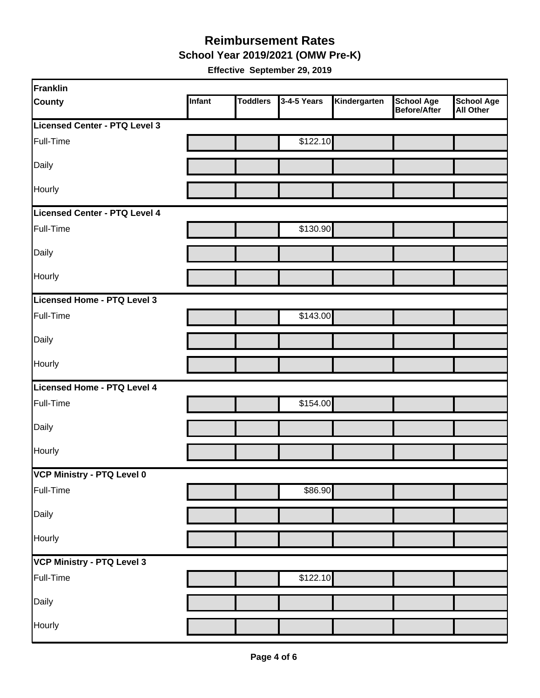#### **School Year 2019/2021 (OMW Pre-K) Reimbursement Rates**

| Franklin                      |        |                 |             |              |                                          |                                       |
|-------------------------------|--------|-----------------|-------------|--------------|------------------------------------------|---------------------------------------|
| <b>County</b>                 | Infant | <b>Toddlers</b> | 3-4-5 Years | Kindergarten | <b>School Age</b><br><b>Before/After</b> | <b>School Age</b><br><b>All Other</b> |
| Licensed Center - PTQ Level 3 |        |                 |             |              |                                          |                                       |
| Full-Time                     |        |                 | \$122.10    |              |                                          |                                       |
| Daily                         |        |                 |             |              |                                          |                                       |
| Hourly                        |        |                 |             |              |                                          |                                       |
| Licensed Center - PTQ Level 4 |        |                 |             |              |                                          |                                       |
| Full-Time                     |        |                 | \$130.90    |              |                                          |                                       |
| Daily                         |        |                 |             |              |                                          |                                       |
| Hourly                        |        |                 |             |              |                                          |                                       |
| Licensed Home - PTQ Level 3   |        |                 |             |              |                                          |                                       |
| Full-Time                     |        |                 | \$143.00    |              |                                          |                                       |
| Daily                         |        |                 |             |              |                                          |                                       |
| Hourly                        |        |                 |             |              |                                          |                                       |
| Licensed Home - PTQ Level 4   |        |                 |             |              |                                          |                                       |
| Full-Time                     |        |                 | \$154.00    |              |                                          |                                       |
| Daily                         |        |                 |             |              |                                          |                                       |
| Hourly                        |        |                 |             |              |                                          |                                       |
| VCP Ministry - PTQ Level 0    |        |                 |             |              |                                          |                                       |
| Full-Time                     |        |                 | \$86.90     |              |                                          |                                       |
| Daily                         |        |                 |             |              |                                          |                                       |
| Hourly                        |        |                 |             |              |                                          |                                       |
| VCP Ministry - PTQ Level 3    |        |                 |             |              |                                          |                                       |
| Full-Time                     |        |                 | \$122.10    |              |                                          |                                       |
| Daily                         |        |                 |             |              |                                          |                                       |
| Hourly                        |        |                 |             |              |                                          |                                       |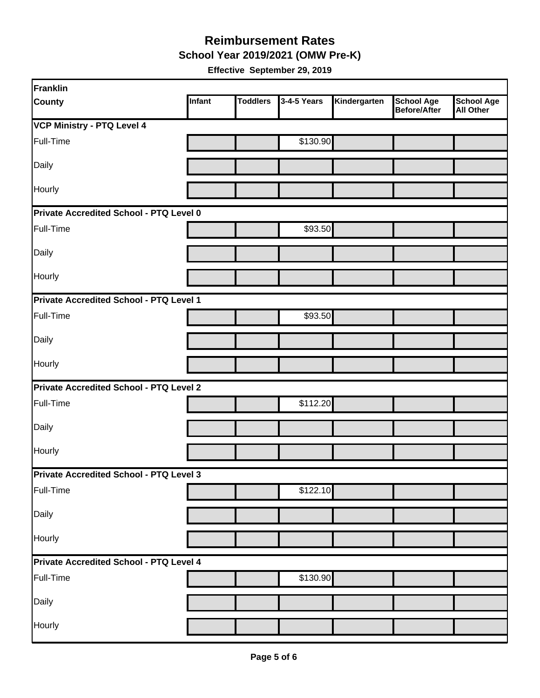**School Year 2019/2021 (OMW Pre-K)**

| Franklin                                       |        |                 |             |              |                                   |                                       |
|------------------------------------------------|--------|-----------------|-------------|--------------|-----------------------------------|---------------------------------------|
| <b>County</b>                                  | Infant | <b>Toddlers</b> | 3-4-5 Years | Kindergarten | <b>School Age</b><br>Before/After | <b>School Age</b><br><b>All Other</b> |
| <b>VCP Ministry - PTQ Level 4</b>              |        |                 |             |              |                                   |                                       |
| Full-Time                                      |        |                 | \$130.90    |              |                                   |                                       |
| Daily                                          |        |                 |             |              |                                   |                                       |
| Hourly                                         |        |                 |             |              |                                   |                                       |
| Private Accredited School - PTQ Level 0        |        |                 |             |              |                                   |                                       |
| Full-Time                                      |        |                 | \$93.50     |              |                                   |                                       |
| Daily                                          |        |                 |             |              |                                   |                                       |
| Hourly                                         |        |                 |             |              |                                   |                                       |
| Private Accredited School - PTQ Level 1        |        |                 |             |              |                                   |                                       |
| Full-Time                                      |        |                 | \$93.50     |              |                                   |                                       |
| Daily                                          |        |                 |             |              |                                   |                                       |
| Hourly                                         |        |                 |             |              |                                   |                                       |
| <b>Private Accredited School - PTQ Level 2</b> |        |                 |             |              |                                   |                                       |
| Full-Time                                      |        |                 | \$112.20    |              |                                   |                                       |
| Daily                                          |        |                 |             |              |                                   |                                       |
| Hourly                                         |        |                 |             |              |                                   |                                       |
| Private Accredited School - PTQ Level 3        |        |                 |             |              |                                   |                                       |
| Full-Time                                      |        |                 | \$122.10    |              |                                   |                                       |
| Daily                                          |        |                 |             |              |                                   |                                       |
| Hourly                                         |        |                 |             |              |                                   |                                       |
| Private Accredited School - PTQ Level 4        |        |                 |             |              |                                   |                                       |
| Full-Time                                      |        |                 | \$130.90    |              |                                   |                                       |
| Daily                                          |        |                 |             |              |                                   |                                       |
| Hourly                                         |        |                 |             |              |                                   |                                       |